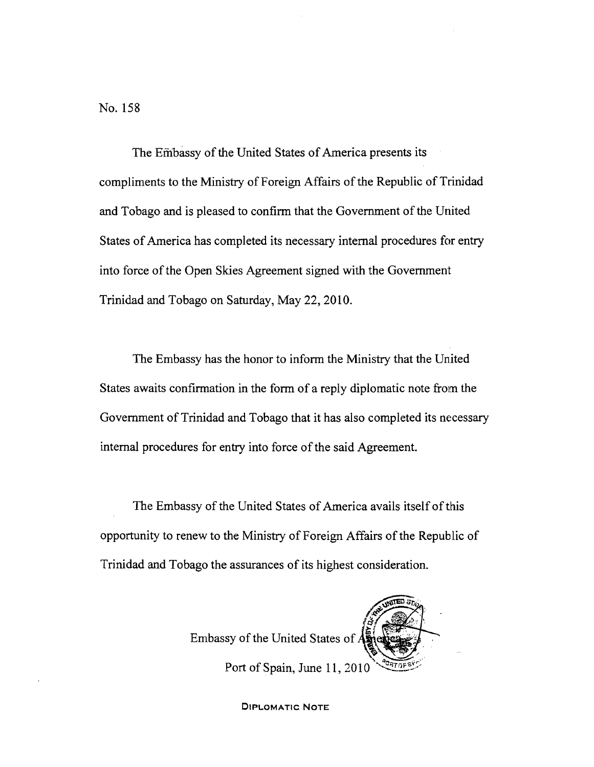No. 158

The Embassy of the United States of America presents its compliments to the Ministry of Foreign Affairs of the Republic of Trinidad and Tobago and is pleased to confirm that the Government of the United States of America has completed its necessary internal procedures for entry into force of the Open Skies Agreement signed with the Government Trinidad and Tobago on Saturday, May 22, 2010.

The Embassy has the honor to inform the Ministry that the United States awaits confirmation in the form of a reply diplomatic note from the Government of Trinidad and Tobago that it has also completed its necessary internal procedures for entry into force of the said Agreement.

The Embassy of the United States of America avails itself of this opportunity to renew to the Ministry of Foreign Affairs of the Republic of Trinidad and Tobago the assurances of its highest consideration.

Embassy of the United States of  $\vec{A}$ Port of Spain, June 11, 2010

DIPLOMATIC NOTE